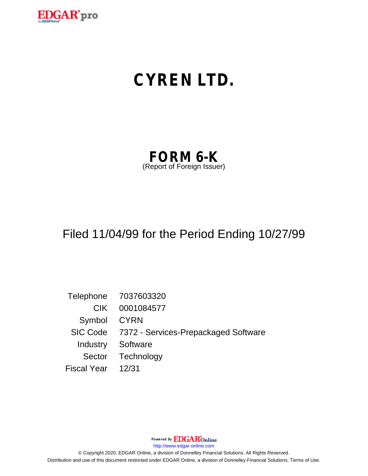

# **CYREN LTD.**

| <b>FORM 6-K</b>            |  |
|----------------------------|--|
| (Report of Foreign Issuer) |  |

### Filed 11/04/99 for the Period Ending 10/27/99

Telephone 7037603320 CIK 0001084577 Symbol CYRN SIC Code 7372 - Services-Prepackaged Software Industry Software Sector Technology Fiscal Year 12/31

Powered By **EDGAR**Online

http://www.edgar-online.com

© Copyright 2020, EDGAR Online, a division of Donnelley Financial Solutions. All Rights Reserved. Distribution and use of this document restricted under EDGAR Online, a division of Donnelley Financial Solutions, Terms of Use.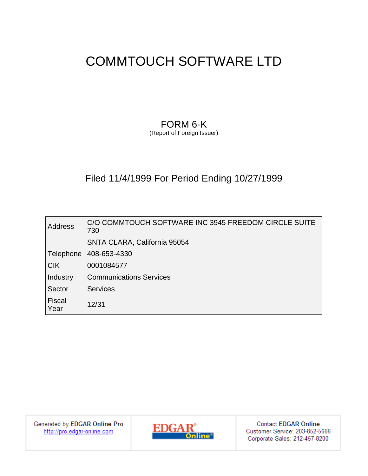### COMMTOUCH SOFTWARE LTD

### FORM 6-K

(Report of Foreign Issuer)

### Filed 11/4/1999 For Period Ending 10/27/1999

| <b>Address</b>        | C/O COMMTOUCH SOFTWARE INC 3945 FREEDOM CIRCLE SUITE<br>730 |
|-----------------------|-------------------------------------------------------------|
|                       | SNTA CLARA, California 95054                                |
| Telephone             | 408-653-4330                                                |
| $ C$ K                | 0001084577                                                  |
| Industry              | <b>Communications Services</b>                              |
| Sector                | <b>Services</b>                                             |
| <b>Fiscal</b><br>Year | 12/31                                                       |

Generated by EDGAR Online Pro http://pro.edgar-online.com



**Contact EDGAR Online** Customer Service: 203-852-5666 Corporate Sales: 212-457-8200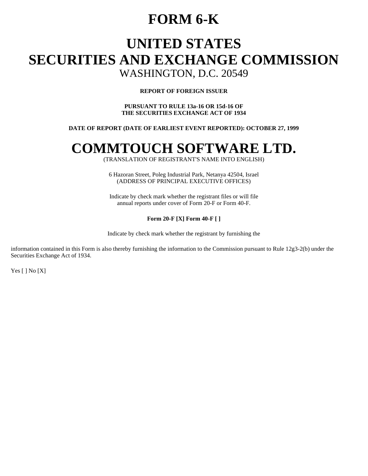### **FORM 6-K**

## **UNITED STATES SECURITIES AND EXCHANGE COMMISSION**

WASHINGTON, D.C. 20549

#### **REPORT OF FOREIGN ISSUER**

**PURSUANT TO RULE 13a-16 OR 15d-16 OF THE SECURITIES EXCHANGE ACT OF 1934** 

#### **DATE OF REPORT (DATE OF EARLIEST EVENT REPORTED): OCTOBER 27, 1999**

## **COMMTOUCH SOFTWARE LTD.**

(TRANSLATION OF REGISTRANT'S NAME INTO ENGLISH)

6 Hazoran Street, Poleg Industrial Park, Netanya 42504, Israel (ADDRESS OF PRINCIPAL EXECUTIVE OFFICES)

Indicate by check mark whether the registrant files or will file annual reports under cover of Form 20-F or Form 40-F.

#### **Form 20-F [X] Form 40-F [ ]**

Indicate by check mark whether the registrant by furnishing the

information contained in this Form is also thereby furnishing the information to the Commission pursuant to Rule 12g3-2(b) under the Securities Exchange Act of 1934.

Yes [ ] No [X]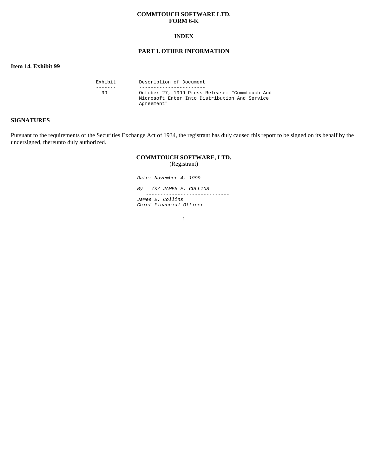#### **COMMTOUCH SOFTWARE LTD. FORM 6-K**

#### **INDEX**

#### **PART I. OTHER INFORMATION**

#### **Item 14. Exhibit 99**

| Exhibit | Description of Document                        |  |
|---------|------------------------------------------------|--|
|         |                                                |  |
| -99     | October 27, 1999 Press Release: "Commtouch And |  |
|         | Microsoft Enter Into Distribution And Service  |  |
|         | Agreement"                                     |  |

#### **SIGNATURES**

Pursuant to the requirements of the Securities Exchange Act of 1934, the registrant has duly caused this report to be signed on its behalf by the undersigned, thereunto duly authorized.

#### **COMMTOUCH SOFTWARE, LTD.**

(Registrant)

Date: November 4, 1999

By /s/ JAMES E. COLLINS ----------------------------- James E. Collins Chief Financial Officer

1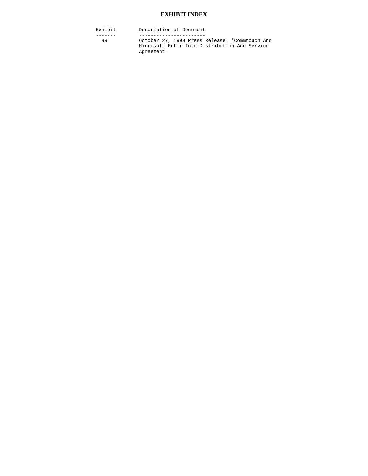#### **EXHIBIT INDEX**

Exhibit Description of Document ------- ----------------------- October 27, 1999 Press Release: "Commtouch And Microsoft Enter Into Distribution And Service Agreement"